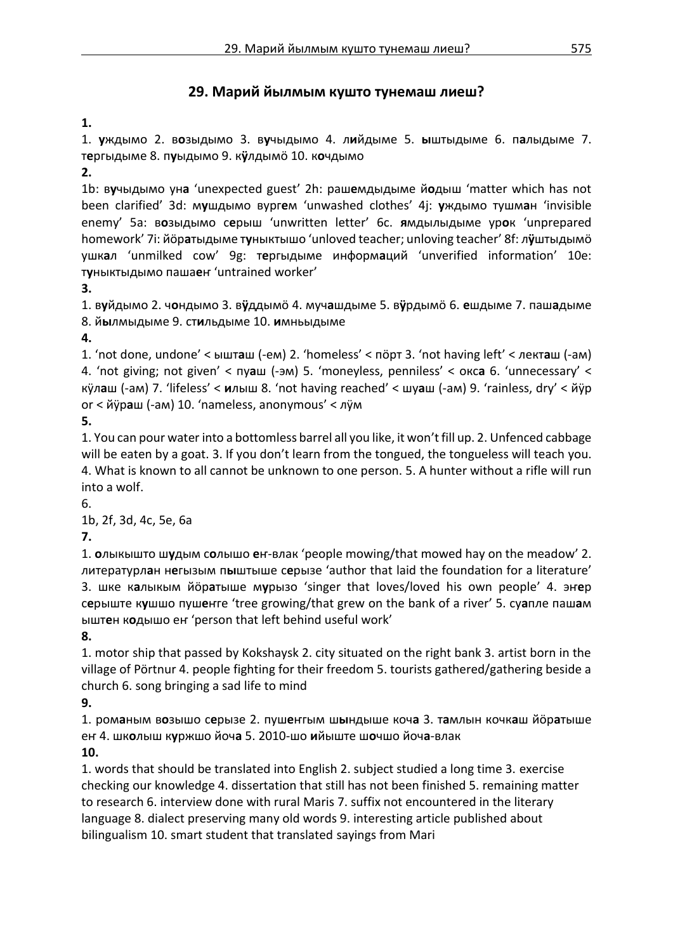## **29. Марий йылмым кушто тунемаш лиеш?**

**1.**

1. **у**ждымо 2. в**о**зыдымо 3. в**у**чыдымо 4. л**и**йдыме 5. **ы**штыдыме 6. п**а**лыдыме 7. т**е**ргыдыме 8. п**у**ыдымо 9. к**ӱ**лдымӧ 10. к**о**чдымо

**2.**

1b: в**у**чыдымо ун**а** 'unexpected guest' 2h: раш**е**мдыдыме й**о**дыш 'matter which has not been clarified' 3d: м**у**шдымо вург**е**м 'unwashed clothes' 4j: **у**ждымо тушм**а**н 'invisible enemy' 5a: в**о**зыдымо с**е**рыш 'unwritten letter' 6c. **я**мдылыдыме ур**о**к 'unprepared homework' 7i: йӧр**а**тыдыме т**у**ныктышо 'unloved teacher; unloving teacher' 8f: л**ӱ**штыдымӧ ушк**а**л 'unmilked cow' 9g: т**е**ргыдыме информ**а**ций 'unverified information' 10e: т**у**ныктыдымо паша**е**ҥ 'untrained worker'

**3.**

1. в**у**йдымо 2. ч**о**ндымо 3. в**ӱ**ддымӧ 4. муч**а**шдыме 5. в**ӱ**рдымӧ 6. **е**шдыме 7. паш**а**дыме 8. й**ы**лмыдыме 9. ст**и**льдыме 10. **и**мньыдыме

**4.**

1. 'not done, undone' < ышт**а**ш (-ем) 2. 'homeless' < пӧрт 3. 'not having left' < лект**а**ш (-ам) 4. 'not giving; not given' < пу**а**ш (-эм) 5. 'moneyless, penniless' < окс**а** 6. 'unnecessary' < кӱл**а**ш (-ам) 7. 'lifeless' < **и**лыш 8. 'not having reached' < шу**а**ш (-ам) 9. 'rainless, dry' < йӱр or < йӱр**а**ш (-ам) 10. 'nameless, anonymous' < лӱм

**5.**

1. You can pour water into a bottomless barrel all you like, it won't fill up. 2. Unfenced cabbage will be eaten by a goat. 3. If you don't learn from the tongued, the tongueless will teach you. 4. What is known to all cannot be unknown to one person. 5. A hunter without a rifle will run into a wolf.

6.

1b, 2f, 3d, 4c, 5e, 6a

**7.**

1. **о**лыкышто ш**у**дым с**о**лышо **е**ҥ-влак 'people mowing/that mowed hay on the meadow' 2. литературл**а**н н**е**гызым п**ы**штыше с**е**рызе 'author that laid the foundation for a literature' 3. шке к**а**лыкым йӧр**а**тыше м**у**рызо 'singer that loves/loved his own people' 4. эҥ**е**р с**е**рыште к**у**шшо пуш**е**ҥге 'tree growing/that grew on the bank of a river' 5. су**а**пле паш**а**м ышт**е**н к**о**дышо еҥ 'person that left behind useful work'

**8.**

1. motor ship that passed by Kokshaysk 2. city situated on the right bank 3. artist born in the village of Pörtnur 4. people fighting for their freedom 5. tourists gathered/gathering beside a church 6. song bringing a sad life to mind

**9.**

1. ром**а**ным в**о**зышо с**е**рызе 2. пуш**е**ҥгым ш**ы**ндыше коч**а** 3. т**а**млын кочк**а**ш йӧр**а**тыше еҥ 4. шк**о**лыш к**у**ржшо йоч**а** 5. 2010-шо **и**йыште ш**о**чшо йоч**а**-влак

**10.**

1. words that should be translated into English 2. subject studied a long time 3. exercise checking our knowledge 4. dissertation that still has not been finished 5. remaining matter to research 6. interview done with rural Maris 7. suffix not encountered in the literary language 8. dialect preserving many old words 9. interesting article published about bilingualism 10. smart student that translated sayings from Mari